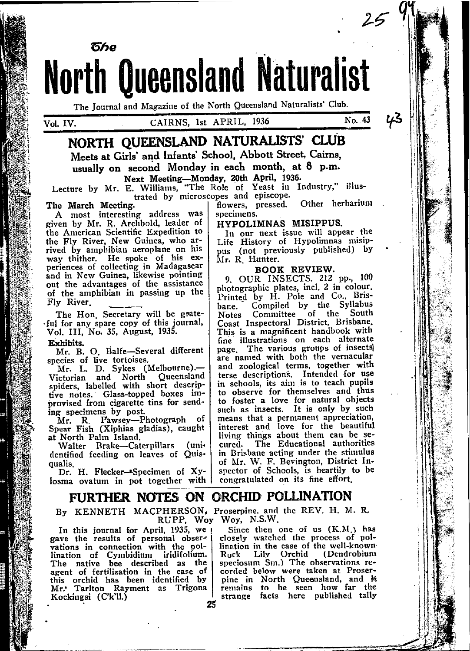The Journal and Magazine of the North Queensland Naturalists' Club.

**North Queensland Naturalist** 

No. 43

# NORTH OUEENSLAND NATURALISTS' CLUB Meets at Girls' and Infants' School, Abbott Street, Cairns. usually on second Monday in each month, at 8 p.m.

Next Meeting-Monday, 20th April, 1936.<br>Lecture by Mr. E. Williams, "The Role of Yeast in Industry," illus-<br>trated by microscopes and episcope. Other herbarium

#### The March Meeting.

წჩღ

A most interesting address was given by Mr. R. Archbold, leader of the American Scientific Expedition to the Fly River, New Guinea, who arrived by amphibian aeroplane on his way thither. He spoke of his ex-<br>periences of collecting in Madagascar and in New Guinea, likewise pointing out the advantages of the assistance of the amphibian in passing up the Fly River.

The Hon. Secretary will be grateful for any spare copy of this journal, Vol. III, No. 35, August, 1935.

Exhibits.

Mr. B. O. Balfe-Several different

species of live tortoises.<br>Mr. L. D. Sykes (Melbourne). Victorian and North Queensland<br>spiders, labelled with short descriptive notes. Glass-topped boxes improvised from cigarette tins for sending specimens by post.

Mr. R Pawsey-Photograph of<br>Spear Fish (Xiphias gladias), caught at North Palm Island.

Walter Brake-Caterpillars (unidentified feeding on leaves of Quisqualis.

Dr. H. Flecker-Specimen of Xylosma ovatum in pot together with

# FURTHER NOTES ON ORCHID POLLINATION

By KENNETH MACPHERSON, Proserpine, and the REV. H. M. R. RUPP, Woy Woy, N.S.W.

Rock

In this journal for April, 1935, we gave the results of personal obsergave the connection with the pol-<br>lination of Cymbidium iridifolium.<br>The native bee described as the agent of fertilization in the case of this orchid has been identified by Mr. Tarlton Rayment as Trigona Kockingsi (C'k'll.)

25

HYPOLIMNAS MISIPPUS.

flowers, pressed.

specimens.

In our next issue will appear the Life History of Hypolimnas misippus (not previously published) by Mr. R. Hunter.

#### BOOK REVIEW.

9. OUR INSECTS. 212 pp., 100 photographic plates, incl. 2 in colour. Printed by H. Pole and Co., Bris-Compiled by the Syllabus hane. Committee of the South Notes Coast Inspectoral District, Brisbane, This is a magnificent handbook with fine illustrations on each alternate The various groups of insects page. are named with both the vernacular and zoological terms, together with terse descriptions. Intended for use in schools, its aim is to teach pupils to observe for themselves and thus to foster a love for natural objects<br>such as insects. It is only by such means that a permanent appreciation,<br>interest and love for the beautiful living things about them can be se-The Educational authorities cured. in Brisbane acting under the stimulus of Mr. W. F. Bevington, District Inspector of Schools, is heartily to be congratulated on its fine effort.

Since then one of us (K.M.) has closely watched the process of pol-

(Dendrobium

lination in the case of the well-known Lily Orchid

speciosum Sm.) The observations re-

corded below were taken at Proserpine in North Queensland, and it remains to be seen how far the

strange facts here published tally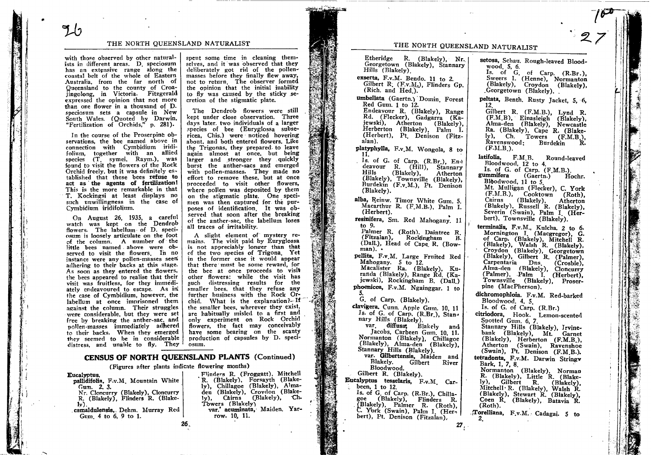#### THE NORTH OUEENSLAND NATURALIST

with those observed by other naturalists in different areas. D. speciosum has an extensive range along the coastal belt of the whole of Eastern Australia, from the far north of Oueensland to the county of Croajingolong, in Victoria. Fitzgerald<br>expressed the opinion that not more than one flower in a thousand of D. speciosum sets a capsule in New South Wales. (Quoted by Darwin, "Fertilization of Orchids," p. 281).

In the course of the Proserpine observations, the bee named above in connection with Cymbidium iridifolium, together with an allied species (T symei, Raym.), was found to visit the flowers of the Rock Orchid freely, but it was definitely established that these bees refuse to act as the agents of fertilization! This is the more remarkable in that T. Kockingsi at least displays no such unwillingness in the case of Cymbidium iridifolium.

On August 26, 1935, a careful watch was kept on the Dendrob flowers. The labellum of D. speciosum is loosely articulate on the foot of the column. A number of the little bees named above were observed to visit the flowers. In no instance were any pollen-masses seen adhering to their backs at this stage. As soon as they entered the flowers, the bees appeared to realise that their visit was fruitless, for they immediately endeavoured to escape. As in the case of Cymbidium, however, the labellum at once imprisoned them against the column. Their struggles were considerable, but they were set free by breaking the anther-sac, and pollen-masses immediately adhered to their backs. When they emerged they seemed to be in considerable distress, and unable to fly. They

spent some time in cleaning themselves, and it was observed that they deliberately got rid of the pollenmasses before they finally flew away, not to return. The observer formed the opinion that the initial inability to fly was caused by the sticky secretion of the stigmatic plate.

The Dendrob flowers were still kept under close observation. Three days later, two individuals of a larger species of bee (Euryglossa subsericea. Chis.) were noticed hovering about, and both entered flowers. Like the Trigonas, they prepared to leave again almost at once, but being larger and stronger they quickly burst the anther-sacs and emerged with pollen-masses. They made no effort to remove these, but at once proceeded to visit other flowers, where pollen was deposited by them on the stigmatic plate. One specimen was then captured for the purposes of identification. It was observed that soon after the breaking of the anther-sac, the labellum loses all traces of irritability.

A slight element of mystery remains. The visit paid by Euryglossa is not appreciably longer than that of the two species of Trigona. Yet in the former case it would appear that there must be some reward, for the bee at once proceeds to visit other flowers: while the visit has such distressing results for the smaller bees, that they refuse any further business with the Rock Orchid. What is the explanation? $H^*$ the smaller bees, wherever they exist, are habitually misled to a first and only experiment on Rock Orchid flowers, the fact may conceivably have some bearing on the scanty production of capsules by D. speciosum.

Flinders R. (Froggatt), Mitchell

R. (Blakely), Forsayth (Blake-

ly), Chillagoe (Blakely), Alma-<br>den (Blakely), Crovdon (Blake-

var. acuminata, Maiden. Yar-

(Blakely).

- Ch.

Cairns

Towers (Blakely)

row. 10, 11.

## CENSUS OF NORTH QUEENSLAND PLANTS (Continued)

 $\mathbf{I} \mathbf{y}$ ),

(Figures after plants indicate flowering months)

#### Eucalyptus.

- pallidifolia, F.v.M. Mountain White Gum. 2.3.
- Nr. Cloncurry (Blakely), Cloncurry R. (Blakely), Flinders R. (Blake- $1v$
- camaldulensis, Dehm. Murray Red Gum. 4 to 6, 9 to 1.

26.

## THE NORTH QUEENSLAND NATURALIST

Etheridge R. (Blakely), Nr. Georgetown (Blakely), Stannary Hills (Blakely). exserta, F.v.M. Bendo. 11 to 2. Gilbert R. (F.v.M.), Flinders Gp. (Rich. and Hed.). umbellata (Gaertn.) Domin Forest Red Gum. 1 to 12. Endeavour R. (Blakely), Range Rd. (Flecker), Gadgarra (Kajewski), Atherton (Blakely), Herberton (Blakely), Palm I. (Herbert), Pt. Denison (Fitzalan). platyphylla, F.v.M. Wongola, 8 to 11. Is. of G. of Carp.  $(R.Br.)$ ,  $En \rightarrow$ deavour R. (Hill), Stannary Hills (Blakely), Atherton<br>(Blakely), Townsville (Blakely),<br>Burdekin (F.v.M.), Pt. Denison (Blakely). alba, Reinw. Timor White Gum. 5. Macarthur R. (F.M.B.), Palm I. (Herbert). resinifera, Sm. Red Mahogany, 11 to 9. Palmer R. (Roth). Daintree R. (Fitzalan), Rockingham - B. (Dall.), Head of Cape R. (Bow $man)$ . pellita, F.v.M. Large Fruited Red Mahogany. 5 to 12. Macalister Ra. (Blakely), Kuranda (Blakely), Range Rd. (Kajewski), Rockingham B. (Dall.) phoenicea, F.v.M. Ngainggar, 1 to G. of Carp. (Blakely). clavigera. Cunn. Apple Gum. 10, 11 Is. of G. of Carp. (R.Br.), Stannary Hills (Blakely). var. diffusa; Blakely and Jacobs, Carbeen Gum. 10, 11. Normanton (Blakely), Chillagoe (Blakely), Alma-den (Blakely), Stannary Hills (Blakely). var. Gilbertensis, Maiden and Blakely. Gilbert River Bloodwood. Gilbert R. (Blakely). Eucalyptus tesselaris, F.v.M. Carbeen, 1 to 12. Is. of G. of Carp. (R.Br.), Chillagoe (Blakely), Flinders R. (Blakely), Palmer R. (Roth), C. York (Swain), Palm I. (Herbert), Pt. Denison (Fitzalan).

setosa, Schau. Rough-leaved Bloodwood, 5, 6. Is. of G. of Carp. (R.Br.), Sweers I. (Henne), Normanton (Blakely), Croydon (Blakely), .Georgetown (Blakely). peltata, Benth. Rusty Jacket, 5, 6, -12 Gilbert R. (F.M.B.), Lynd R. (F.M.B), Einasleigh (Blakely), Alma-den (Blakely), Newcastle Ra. (Blakely), Cape R. (Blakely), Ch. Towers (F.M.B.). Ravenswood: Burdekin R.  $(F.M.B.).$ latifolia, F.M B. Round-leaved Bloodwood, 12 to 4. Is. of G. of Carp. (F.M.B.). gummifera (Gaertn.) Hochr. Bloodwood, 11 to 5 Mt. Mulligan (Flecker), C. York (F.M.B.), Cooktown (Roth), Cairns (Blakely), Atherton (Blakely), Russell R. (Blakely), Severin (Swain), Palm I (Herbert). Townsville (Blakely). terminalis, F.v.M., Kulcha. 2 to 6. Mornington I. (Macgregor), G.<br>of Carp. (Blakely), Mitchell R.<br>(Blakely), Walsh R. (Blakely), Croydon (Blakely), Georgetown (Blakely), Gilbert R. (Palmer), Carpentaria Dns (Crosbie), Alma-den (Blakely), Cloncurry (Palmer), Palm I. (Herbert), Townsville (Blakely), Proserpine (MacPherson). dichromophloia. F.v.M. Red-barked Bloodwood, 4, 5 Is. of G. of Carp. (R.Br.) citriodora, Hook. Lemon-scented Spotted Gum. 6, 7. Stannary Hills (Blakely), Irvinebank (Blakely), Mt. Garnet<br>(Blakely), Herberton (F.M.B.), Atherton (Swain), Ravenshoe (Swain), Pt. Denison (F.M.B.). tetradonta, F.v.M. Darwin Stringv Bark, 1, 7, 8. Normanton (Blakely), Norman<br>R. (Blakely), Little R. (Blakely), Gilbert R. (Blakely), Mitchell R. (Blakely), Walsh R. (Blakely), Stewart R. (Blakely), Coen R. (Blakely), Batavia R.  $(Roth)$ . Torelliana, F.v.M. Cadagai. 5 to

 $2_{\cdot}$ 

 $27<sub>2</sub>$